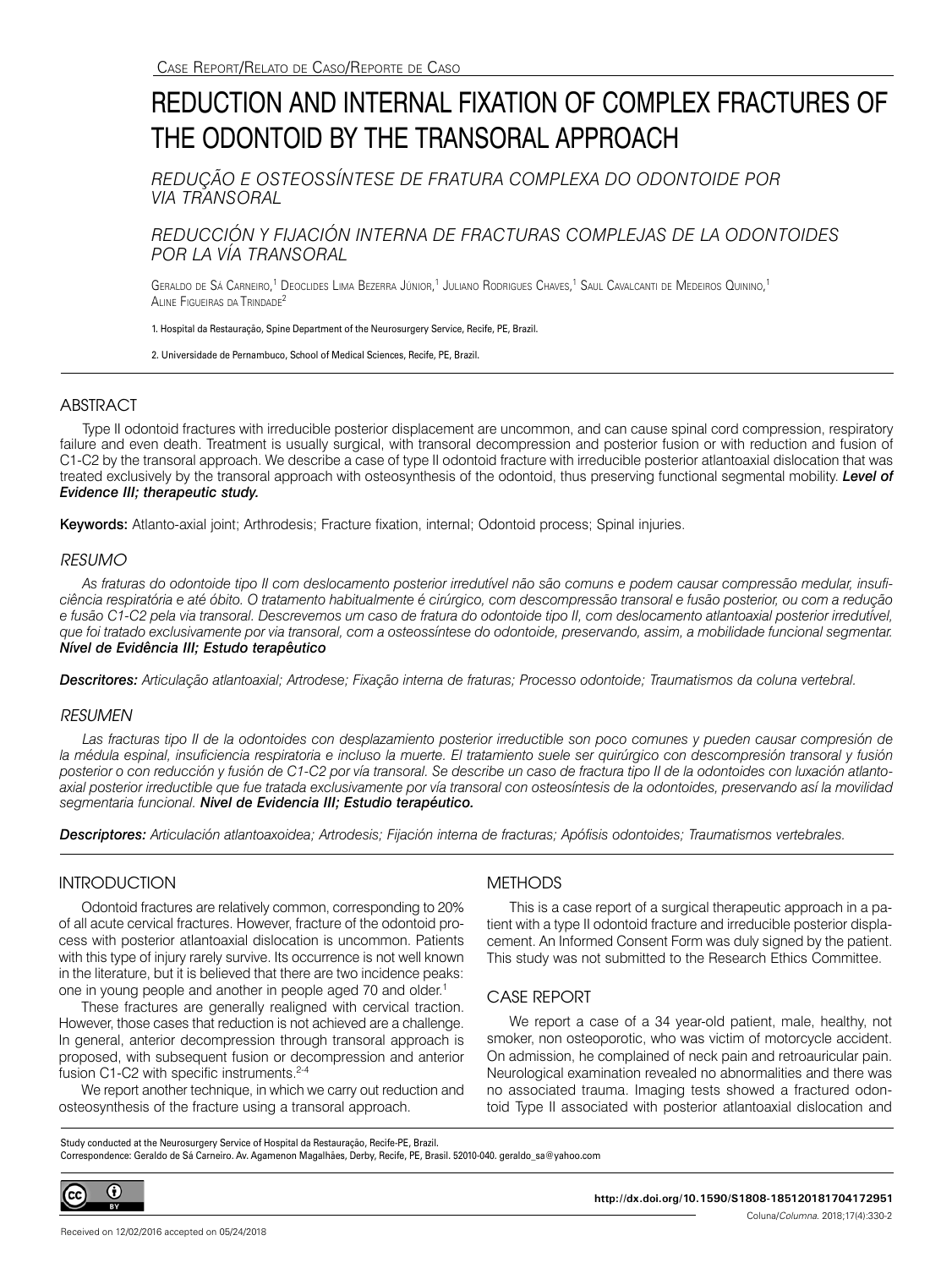# REDUCTION AND INTERNAL FIXATION OF COMPLEX FRACTURES OF THE ODONTOID BY THE TRANSORAL APPROACH

*REDUÇÃO E OSTEOSSÍNTESE DE FRATURA COMPLEXA DO ODONTOIDE POR VIA TRANSORAL*

# *REDUCCIÓN Y FIJACIÓN INTERNA DE FRACTURAS COMPLEJAS DE LA ODONTOIDES POR LA VÍA TRANSORAL*

Geraldo de Sá Carneiro,<sup>1</sup> Deoclides Lima Bezerra Júnior,<sup>1</sup> Juliano Rodrigues Chaves,<sup>1</sup> Saul Cavalcanti de Medeiros Quinino,<sup>1</sup> Aline Figueiras da Trindade2

1. Hospital da Restauração, Spine Department of the Neurosurgery Service, Recife, PE, Brazil.

2. Universidade de Pernambuco, School of Medical Sciences, Recife, PE, Brazil.

# ABSTRACT

Type II odontoid fractures with irreducible posterior displacement are uncommon, and can cause spinal cord compression, respiratory failure and even death. Treatment is usually surgical, with transoral decompression and posterior fusion or with reduction and fusion of C1-C2 by the transoral approach. We describe a case of type II odontoid fracture with irreducible posterior atlantoaxial dislocation that was treated exclusively by the transoral approach with osteosynthesis of the odontoid, thus preserving functional segmental mobility. *Level of Evidence III; therapeutic study.*

Keywords: Atlanto-axial joint; Arthrodesis; Fracture fixation, internal; Odontoid process; Spinal injuries.

#### *RESUMO*

*As fraturas do odontoide tipo II com deslocamento posterior irredutível não são comuns e podem causar compressão medular, insuficiência respiratória e até óbito. O tratamento habitualmente é cirúrgico, com descompressão transoral e fusão posterior, ou com a redução e fusão C1-C2 pela via transoral. Descrevemos um caso de fratura do odontoide tipo II, com deslocamento atlantoaxial posterior irredutível, que foi tratado exclusivamente por via transoral, com a osteossíntese do odontoide, preservando, assim, a mobilidade funcional segmentar. Nível de Evidência III; Estudo terapêutico*

*Descritores: Articulação atlantoaxial; Artrodese; Fixação interna de fraturas; Processo odontoide; Traumatismos da coluna vertebral.*

#### *RESUMEN*

Las fracturas tipo II de la odontoides con desplazamiento posterior irreductible son poco comunes y pueden causar compresión de *la médula espinal, insuficiencia respiratoria e incluso la muerte. El tratamiento suele ser quirúrgico con descompresión transoral y fusión posterior o con reducción y fusión de C1-C2 por vía transoral. Se describe un caso de fractura tipo II de la odontoides con luxación atlantoaxial posterior irreductible que fue tratada exclusivamente por vía transoral con osteosíntesis de la odontoides, preservando así la movilidad segmentaria funcional. Nivel de Evidencia III; Estudio terapéutico.*

*Descriptores: Articulación atlantoaxoidea; Artrodesis; Fijación interna de fracturas; Apófisis odontoides; Traumatismos vertebrales.*

# **INTRODUCTION**

Odontoid fractures are relatively common, corresponding to 20% of all acute cervical fractures. However, fracture of the odontoid process with posterior atlantoaxial dislocation is uncommon. Patients with this type of injury rarely survive. Its occurrence is not well known in the literature, but it is believed that there are two incidence peaks: one in young people and another in people aged 70 and older.<sup>1</sup>

These fractures are generally realigned with cervical traction. However, those cases that reduction is not achieved are a challenge. In general, anterior decompression through transoral approach is proposed, with subsequent fusion or decompression and anterior fusion C1-C2 with specific instruments.<sup>2-4</sup>

We report another technique, in which we carry out reduction and osteosynthesis of the fracture using a transoral approach.

# **METHODS**

This is a case report of a surgical therapeutic approach in a patient with a type II odontoid fracture and irreducible posterior displacement. An Informed Consent Form was duly signed by the patient. This study was not submitted to the Research Ethics Committee.

# CASE REPORT

We report a case of a 34 year-old patient, male, healthy, not smoker, non osteoporotic, who was victim of motorcycle accident. On admission, he complained of neck pain and retroauricular pain. Neurological examination revealed no abnormalities and there was no associated trauma. Imaging tests showed a fractured odontoid Type II associated with posterior atlantoaxial dislocation and

Study conducted at the Neurosurgery Service of Hospital da Restauração, Recife-PE, Brazil. Correspondence: Geraldo de Sá Carneiro. Av. Agamenon Magalhães, Derby, Recife, PE, Brasil. 52010-040. geraldo\_sa@yahoo.com

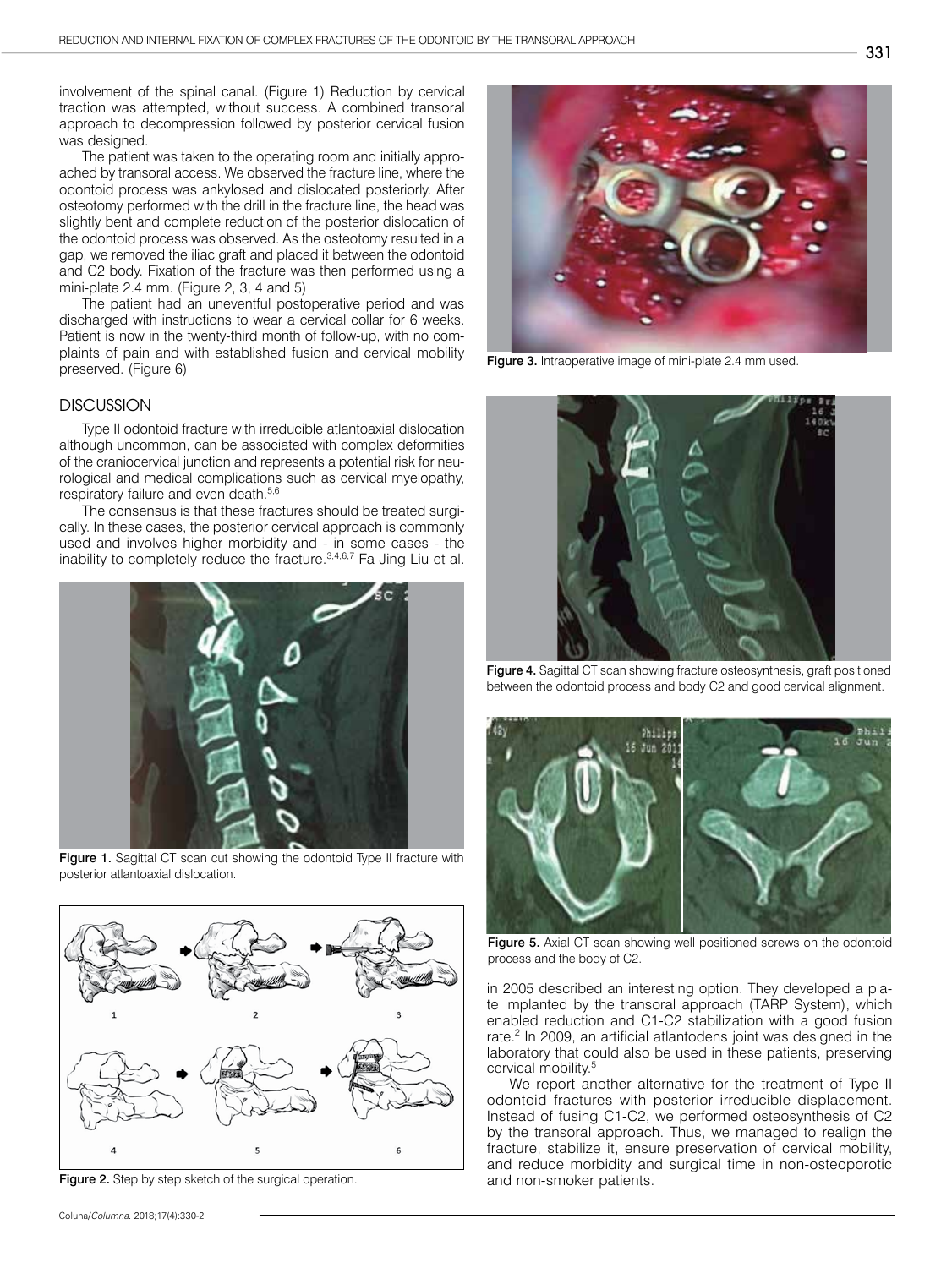involvement of the spinal canal. (Figure 1) Reduction by cervical traction was attempted, without success. A combined transoral approach to decompression followed by posterior cervical fusion was designed.

The patient was taken to the operating room and initially approached by transoral access. We observed the fracture line, where the odontoid process was ankylosed and dislocated posteriorly. After osteotomy performed with the drill in the fracture line, the head was slightly bent and complete reduction of the posterior dislocation of the odontoid process was observed. As the osteotomy resulted in a gap, we removed the iliac graft and placed it between the odontoid and C2 body. Fixation of the fracture was then performed using a mini-plate 2.4 mm. (Figure 2, 3, 4 and 5)

The patient had an uneventful postoperative period and was discharged with instructions to wear a cervical collar for 6 weeks. Patient is now in the twenty-third month of follow-up, with no complaints of pain and with established fusion and cervical mobility preserved. (Figure 6)

#### **DISCUSSION**

Type II odontoid fracture with irreducible atlantoaxial dislocation although uncommon, can be associated with complex deformities of the craniocervical junction and represents a potential risk for neurological and medical complications such as cervical myelopathy, respiratory failure and even death.<sup>5,6</sup>

The consensus is that these fractures should be treated surgically. In these cases, the posterior cervical approach is commonly used and involves higher morbidity and - in some cases - the inability to completely reduce the fracture.3,4,6,7 Fa Jing Liu et al.



Figure 1. Sagittal CT scan cut showing the odontoid Type II fracture with posterior atlantoaxial dislocation.



Figure 2. Step by step sketch of the surgical operation.



Figure 3. Intraoperative image of mini-plate 2.4 mm used.



Figure 4. Sagittal CT scan showing fracture osteosynthesis, graft positioned between the odontoid process and body C2 and good cervical alignment.



Figure 5. Axial CT scan showing well positioned screws on the odontoid process and the body of C2.

in 2005 described an interesting option. They developed a plate implanted by the transoral approach (TARP System), which enabled reduction and C1-C2 stabilization with a good fusion rate.<sup>2</sup> In 2009, an artificial atlantodens joint was designed in the laboratory that could also be used in these patients, preserving cervical mobility.5

We report another alternative for the treatment of Type II odontoid fractures with posterior irreducible displacement. Instead of fusing C1-C2, we performed osteosynthesis of C2 by the transoral approach. Thus, we managed to realign the fracture, stabilize it, ensure preservation of cervical mobility, and reduce morbidity and surgical time in non-osteoporotic and non-smoker patients.